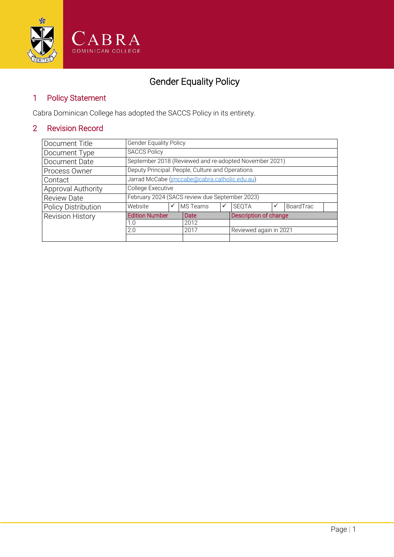

### Gender Equality Policy

#### 1 Policy Statement

Cabra Dominican College has adopted the SACCS Policy in its entirety.

### 2 Revision Record

| Document Title             | <b>Gender Equality Policy</b>                          |      |          |   |                        |                       |           |  |  |
|----------------------------|--------------------------------------------------------|------|----------|---|------------------------|-----------------------|-----------|--|--|
| Document Type              | <b>SACCS Policy</b>                                    |      |          |   |                        |                       |           |  |  |
| Document Date              | September 2018 (Reviewed and re-adopted November 2021) |      |          |   |                        |                       |           |  |  |
| Process Owner              | Deputy Principal: People, Culture and Operations       |      |          |   |                        |                       |           |  |  |
| Contact                    | Jarrad McCabe (imccabe@cabra.catholic.edu.au)          |      |          |   |                        |                       |           |  |  |
| Approval Authority         | College Executive                                      |      |          |   |                        |                       |           |  |  |
| <b>Review Date</b>         | February 2024 (SACS review due September 2023)         |      |          |   |                        |                       |           |  |  |
| <b>Policy Distribution</b> | Website                                                |      | MS Teams | ✓ | <b>SEOTA</b>           |                       | BoardTrac |  |  |
| <b>Revision History</b>    | <b>Edition Number</b>                                  |      | Date     |   |                        | Description of change |           |  |  |
|                            | 1.0                                                    |      | 2012     |   |                        |                       |           |  |  |
| 2.0                        |                                                        | 2017 |          |   | Reviewed again in 2021 |                       |           |  |  |
|                            |                                                        |      |          |   |                        |                       |           |  |  |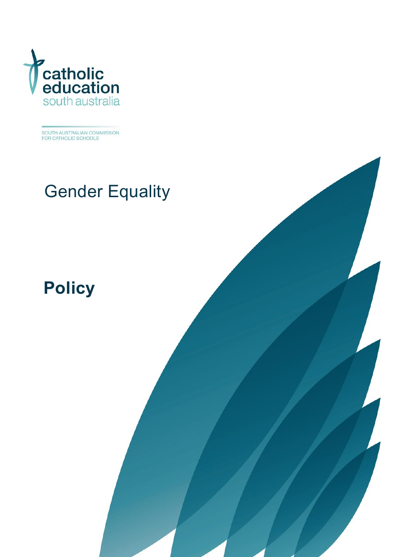

SOUTH AUSTRALIAN COMMISSION<br>FOR CATHOLIC SCHOOLS

# Gender Equality

Gender Equality Policy 1

## **[Policy](#page-4-0)**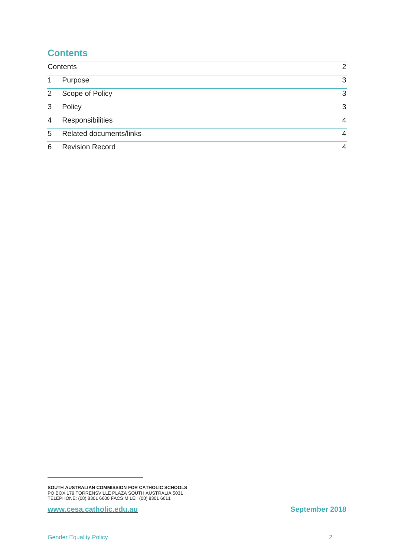#### <span id="page-2-0"></span>**Contents**

| Contents |                                | $\overline{2}$ |
|----------|--------------------------------|----------------|
| -1       | Purpose                        | 3              |
| 2        | Scope of Policy                | 3              |
| 3        | Policy                         | 3              |
| 4        | Responsibilities               | 4              |
| 5        | <b>Related documents/links</b> | $\overline{4}$ |
| 6        | <b>Revision Record</b>         | 4              |

**[www.cesa.catholic.edu.au](http://www.cesa.catholic.edu.au/)  September 2018** 

-

**SOUTH AUSTRALIAN COMMISSION FOR CATHOLIC SCHOOLS** PO BOX 179 TORRENSVILLE PLAZA SOUTH AUSTRALIA 5031 TELEPHONE: (08) 8301 6600 FACSIMILE: (08) 8301 6611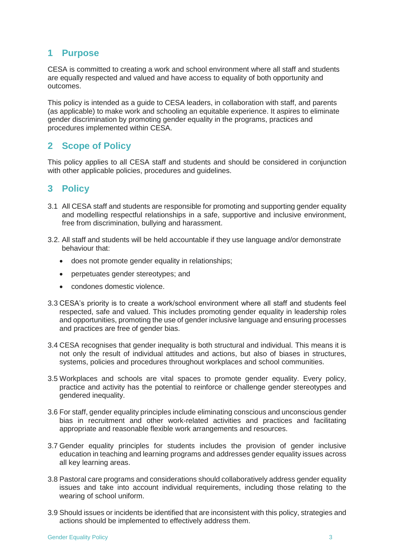#### <span id="page-3-0"></span>**1 Purpose**

CESA is committed to creating a work and school environment where all staff and students are equally respected and valued and have access to equality of both opportunity and outcomes.

This policy is intended as a guide to CESA leaders, in collaboration with staff, and parents (as applicable) to make work and schooling an equitable experience. It aspires to eliminate gender discrimination by promoting gender equality in the programs, practices and procedures implemented within CESA.

#### <span id="page-3-1"></span>**2 Scope of Policy**

This policy applies to all CESA staff and students and should be considered in conjunction with other applicable policies, procedures and guidelines.

#### <span id="page-3-2"></span>**3 Policy**

- 3.1 All CESA staff and students are responsible for promoting and supporting gender equality and modelling respectful relationships in a safe, supportive and inclusive environment, free from discrimination, bullying and harassment.
- 3.2. All staff and students will be held accountable if they use language and/or demonstrate behaviour that:
	- does not promote gender equality in relationships;
	- perpetuates gender stereotypes; and
	- condones domestic violence.
- 3.3 CESA's priority is to create a work/school environment where all staff and students feel respected, safe and valued. This includes promoting gender equality in leadership roles and opportunities, promoting the use of gender inclusive language and ensuring processes and practices are free of gender bias.
- 3.4 CESA recognises that gender inequality is both structural and individual. This means it is not only the result of individual attitudes and actions, but also of biases in structures, systems, policies and procedures throughout workplaces and school communities.
- 3.5 Workplaces and schools are vital spaces to promote gender equality. Every policy, practice and activity has the potential to reinforce or challenge gender stereotypes and gendered inequality.
- 3.6 For staff, gender equality principles include eliminating conscious and unconscious gender bias in recruitment and other work-related activities and practices and facilitating appropriate and reasonable flexible work arrangements and resources.
- 3.7 Gender equality principles for students includes the provision of gender inclusive education in teaching and learning programs and addresses gender equality issues across all key learning areas.
- 3.8 Pastoral care programs and considerations should collaboratively address gender equality issues and take into account individual requirements, including those relating to the wearing of school uniform.
- 3.9 Should issues or incidents be identified that are inconsistent with this policy, strategies and actions should be implemented to effectively address them.